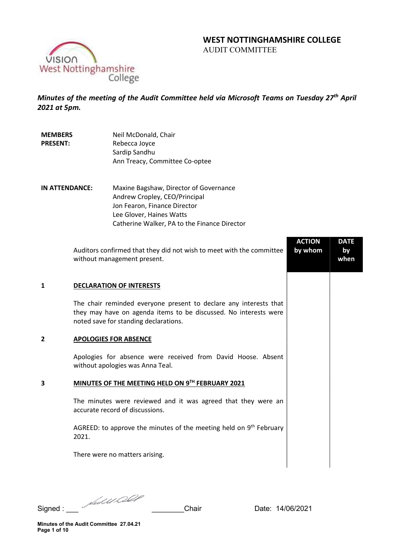# WEST NOTTINGHAMSHIRE COLLEGE AUDIT COMMITTEE

VISION West Nottinghamshire<br>College

MEMBERS

Minutes of the meeting of the Audit Committee held via Microsoft Teams on Tuesday 27<sup>th</sup> April 2021 at 5pm.

Neil McDonald, Chair

| Maxine Bagshaw, Director of Governance<br>IN ATTENDANCE:<br>Andrew Cropley, CEO/Principal<br>Jon Fearon, Finance Director<br>Lee Glover, Haines Watts<br>Catherine Walker, PA to the Finance Director<br><b>ACTION</b><br><b>DATE</b><br>Auditors confirmed that they did not wish to meet with the committee<br>by whom<br>by<br>without management present.<br>when<br>1<br><b>DECLARATION OF INTERESTS</b><br>The chair reminded everyone present to declare any interests that<br>they may have on agenda items to be discussed. No interests were<br>noted save for standing declarations.<br><b>APOLOGIES FOR ABSENCE</b><br>2<br>Apologies for absence were received from David Hoose. Absent<br>without apologies was Anna Teal.<br>MINUTES OF THE MEETING HELD ON 9TH FEBRUARY 2021<br>3<br>The minutes were reviewed and it was agreed that they were an<br>accurate record of discussions.<br>AGREED: to approve the minutes of the meeting held on 9 <sup>th</sup> February<br>2021.<br>There were no matters arising. | <b>PRESENT:</b> | Rebecca Joyce<br>Sardip Sandhu<br>Ann Treacy, Committee Co-optee |  |
|------------------------------------------------------------------------------------------------------------------------------------------------------------------------------------------------------------------------------------------------------------------------------------------------------------------------------------------------------------------------------------------------------------------------------------------------------------------------------------------------------------------------------------------------------------------------------------------------------------------------------------------------------------------------------------------------------------------------------------------------------------------------------------------------------------------------------------------------------------------------------------------------------------------------------------------------------------------------------------------------------------------------------------|-----------------|------------------------------------------------------------------|--|
|                                                                                                                                                                                                                                                                                                                                                                                                                                                                                                                                                                                                                                                                                                                                                                                                                                                                                                                                                                                                                                    |                 |                                                                  |  |
|                                                                                                                                                                                                                                                                                                                                                                                                                                                                                                                                                                                                                                                                                                                                                                                                                                                                                                                                                                                                                                    |                 |                                                                  |  |
|                                                                                                                                                                                                                                                                                                                                                                                                                                                                                                                                                                                                                                                                                                                                                                                                                                                                                                                                                                                                                                    |                 |                                                                  |  |
|                                                                                                                                                                                                                                                                                                                                                                                                                                                                                                                                                                                                                                                                                                                                                                                                                                                                                                                                                                                                                                    |                 |                                                                  |  |
|                                                                                                                                                                                                                                                                                                                                                                                                                                                                                                                                                                                                                                                                                                                                                                                                                                                                                                                                                                                                                                    |                 |                                                                  |  |
|                                                                                                                                                                                                                                                                                                                                                                                                                                                                                                                                                                                                                                                                                                                                                                                                                                                                                                                                                                                                                                    |                 |                                                                  |  |
|                                                                                                                                                                                                                                                                                                                                                                                                                                                                                                                                                                                                                                                                                                                                                                                                                                                                                                                                                                                                                                    |                 |                                                                  |  |
|                                                                                                                                                                                                                                                                                                                                                                                                                                                                                                                                                                                                                                                                                                                                                                                                                                                                                                                                                                                                                                    |                 |                                                                  |  |

Signed : \_\_\_ \_\_\_\_\_\_\_\_Chair Date: 14/06/2021

Minutes of the Audit Committee 27.04.21 Page 1 of 10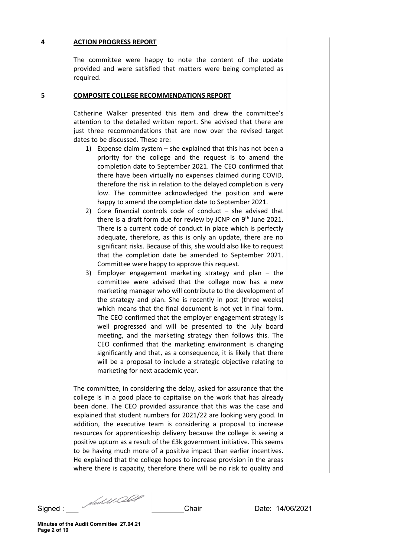### 4 ACTION PROGRESS REPORT

The committee were happy to note the content of the update provided and were satisfied that matters were being completed as required.

#### 5 COMPOSITE COLLEGE RECOMMENDATIONS REPORT

Catherine Walker presented this item and drew the committee's attention to the detailed written report. She advised that there are just three recommendations that are now over the revised target dates to be discussed. These are:

- 1) Expense claim system she explained that this has not been a priority for the college and the request is to amend the completion date to September 2021. The CEO confirmed that there have been virtually no expenses claimed during COVID, therefore the risk in relation to the delayed completion is very low. The committee acknowledged the position and were happy to amend the completion date to September 2021.
- 2) Core financial controls code of conduct she advised that there is a draft form due for review by JCNP on  $9<sup>th</sup>$  June 2021. There is a current code of conduct in place which is perfectly adequate, therefore, as this is only an update, there are no significant risks. Because of this, she would also like to request that the completion date be amended to September 2021. Committee were happy to approve this request.
- 3) Employer engagement marketing strategy and plan the committee were advised that the college now has a new marketing manager who will contribute to the development of the strategy and plan. She is recently in post (three weeks) which means that the final document is not yet in final form. The CEO confirmed that the employer engagement strategy is well progressed and will be presented to the July board meeting, and the marketing strategy then follows this. The CEO confirmed that the marketing environment is changing significantly and that, as a consequence, it is likely that there will be a proposal to include a strategic objective relating to marketing for next academic year.

The committee, in considering the delay, asked for assurance that the college is in a good place to capitalise on the work that has already been done. The CEO provided assurance that this was the case and explained that student numbers for 2021/22 are looking very good. In addition, the executive team is considering a proposal to increase resources for apprenticeship delivery because the college is seeing a positive upturn as a result of the £3k government initiative. This seems to be having much more of a positive impact than earlier incentives. He explained that the college hopes to increase provision in the areas where there is capacity, therefore there will be no risk to quality and

Signed : \_\_\_ \_\_\_\_\_\_\_\_Chair Date: 14/06/2021

Minutes of the Audit Committee 27.04.21 Page 2 of 10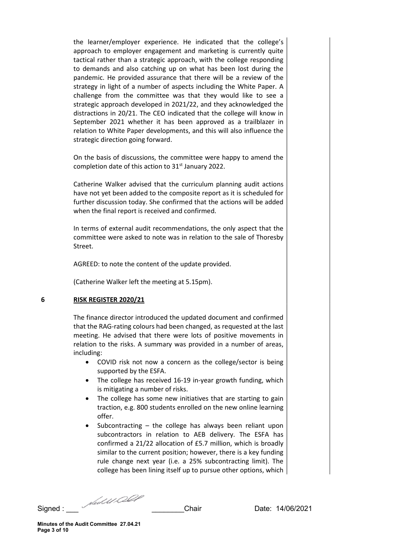the learner/employer experience. He indicated that the college's approach to employer engagement and marketing is currently quite tactical rather than a strategic approach, with the college responding to demands and also catching up on what has been lost during the pandemic. He provided assurance that there will be a review of the strategy in light of a number of aspects including the White Paper. A challenge from the committee was that they would like to see a strategic approach developed in 2021/22, and they acknowledged the distractions in 20/21. The CEO indicated that the college will know in September 2021 whether it has been approved as a trailblazer in relation to White Paper developments, and this will also influence the strategic direction going forward.

On the basis of discussions, the committee were happy to amend the completion date of this action to 31<sup>st</sup> January 2022.

Catherine Walker advised that the curriculum planning audit actions have not yet been added to the composite report as it is scheduled for further discussion today. She confirmed that the actions will be added when the final report is received and confirmed.

In terms of external audit recommendations, the only aspect that the committee were asked to note was in relation to the sale of Thoresby Street.

AGREED: to note the content of the update provided.

(Catherine Walker left the meeting at 5.15pm).

#### 6 RISK REGISTER 2020/21

The finance director introduced the updated document and confirmed that the RAG-rating colours had been changed, as requested at the last meeting. He advised that there were lots of positive movements in relation to the risks. A summary was provided in a number of areas, including:

- COVID risk not now a concern as the college/sector is being supported by the ESFA.
- The college has received 16-19 in-year growth funding, which is mitigating a number of risks.
- The college has some new initiatives that are starting to gain traction, e.g. 800 students enrolled on the new online learning offer.
- Subcontracting the college has always been reliant upon subcontractors in relation to AEB delivery. The ESFA has confirmed a 21/22 allocation of £5.7 million, which is broadly similar to the current position; however, there is a key funding rule change next year (i.e. a 25% subcontracting limit). The college has been lining itself up to pursue other options, which

Signed : \_\_\_ \_\_\_\_\_\_\_\_Chair Date: 14/06/2021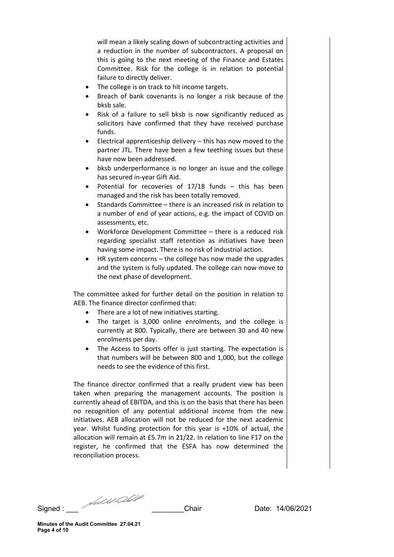will mean a likely scaling down of subcontracting activities and a reduction in the number of subcontractors. A proposal on this is going to the next meeting of the Finance and Estates Committee. Risk for the college is in relation to potential failure to directly deliver.

- The college is on track to hit income targets.
- Breach of bank covenants is no longer a risk because of the bksb sale.
- Risk of a failure to sell bksb is now significantly reduced as solicitors have confirmed that they have received purchase funds.
- Electrical apprenticeship delivery this has now moved to the partner JTL. There have been a few teething issues but these have now been addressed.
- bksb underperformance is no longer an issue and the college has secured in-year Gift Aid.
- Potential for recoveries of 17/18 funds this has been managed and the risk has been totally removed.
- Standards Committee there is an increased risk in relation to a number of end of year actions, e.g. the impact of COVID on assessments, etc.
- Workforce Development Committee there is a reduced risk regarding specialist staff retention as initiatives have been having some impact. There is no risk of industrial action.
- HR system concerns the college has now made the upgrades and the system is fully updated. The college can now move to the next phase of development.

The committee asked for further detail on the position in relation to AEB. The finance director confirmed that:

- There are a lot of new initiatives starting.
- The target is 3,000 online enrolments, and the college is currently at 800. Typically, there are between 30 and 40 new enrolments per day.
- The Access to Sports offer is just starting. The expectation is that numbers will be between 800 and 1,000, but the college needs to see the evidence of this first.

The finance director confirmed that a really prudent view has been taken when preparing the management accounts. The position is currently ahead of EBITDA, and this is on the basis that there has been no recognition of any potential additional income from the new initiatives. AEB allocation will not be reduced for the next academic year. Whilst funding protection for this year is +10% of actual, the allocation will remain at £5.7m in 21/22. In relation to line F17 on the register, he confirmed that the ESFA has now determined the reconciliation process.

Signed : \_\_\_ \_\_\_\_\_\_\_\_Chair Date: 14/06/2021

Minutes of the Audit Committee 27.04.21 Page 4 of 10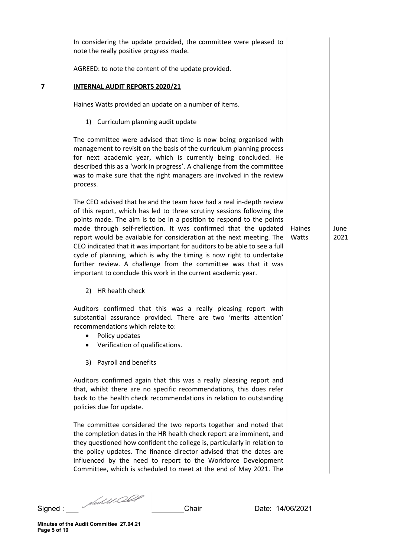|   | In considering the update provided, the committee were pleased to<br>note the really positive progress made.                                                                                                                                                                                                                                                                                                                                                                                                                                                                                                                                              |                 |              |
|---|-----------------------------------------------------------------------------------------------------------------------------------------------------------------------------------------------------------------------------------------------------------------------------------------------------------------------------------------------------------------------------------------------------------------------------------------------------------------------------------------------------------------------------------------------------------------------------------------------------------------------------------------------------------|-----------------|--------------|
|   | AGREED: to note the content of the update provided.                                                                                                                                                                                                                                                                                                                                                                                                                                                                                                                                                                                                       |                 |              |
| 7 | <b>INTERNAL AUDIT REPORTS 2020/21</b>                                                                                                                                                                                                                                                                                                                                                                                                                                                                                                                                                                                                                     |                 |              |
|   | Haines Watts provided an update on a number of items.                                                                                                                                                                                                                                                                                                                                                                                                                                                                                                                                                                                                     |                 |              |
|   | 1) Curriculum planning audit update                                                                                                                                                                                                                                                                                                                                                                                                                                                                                                                                                                                                                       |                 |              |
|   | The committee were advised that time is now being organised with<br>management to revisit on the basis of the curriculum planning process<br>for next academic year, which is currently being concluded. He<br>described this as a 'work in progress'. A challenge from the committee<br>was to make sure that the right managers are involved in the review<br>process.                                                                                                                                                                                                                                                                                  |                 |              |
|   | The CEO advised that he and the team have had a real in-depth review<br>of this report, which has led to three scrutiny sessions following the<br>points made. The aim is to be in a position to respond to the points<br>made through self-reflection. It was confirmed that the updated<br>report would be available for consideration at the next meeting. The<br>CEO indicated that it was important for auditors to be able to see a full<br>cycle of planning, which is why the timing is now right to undertake<br>further review. A challenge from the committee was that it was<br>important to conclude this work in the current academic year. | Haines<br>Watts | June<br>2021 |
|   | 2) HR health check                                                                                                                                                                                                                                                                                                                                                                                                                                                                                                                                                                                                                                        |                 |              |
|   | Auditors confirmed that this was a really pleasing report with<br>substantial assurance provided. There are two 'merits attention'<br>recommendations which relate to:<br>Policy updates<br>Verification of qualifications.                                                                                                                                                                                                                                                                                                                                                                                                                               |                 |              |
|   | 3) Payroll and benefits                                                                                                                                                                                                                                                                                                                                                                                                                                                                                                                                                                                                                                   |                 |              |
|   | Auditors confirmed again that this was a really pleasing report and<br>that, whilst there are no specific recommendations, this does refer<br>back to the health check recommendations in relation to outstanding<br>policies due for update.                                                                                                                                                                                                                                                                                                                                                                                                             |                 |              |
|   | The committee considered the two reports together and noted that<br>the completion dates in the HR health check report are imminent, and<br>they questioned how confident the college is, particularly in relation to<br>the policy updates. The finance director advised that the dates are<br>influenced by the need to report to the Workforce Development<br>Committee, which is scheduled to meet at the end of May 2021. The                                                                                                                                                                                                                        |                 |              |

Signed : \_\_\_ \_\_\_\_\_\_\_\_Chair Date: 14/06/2021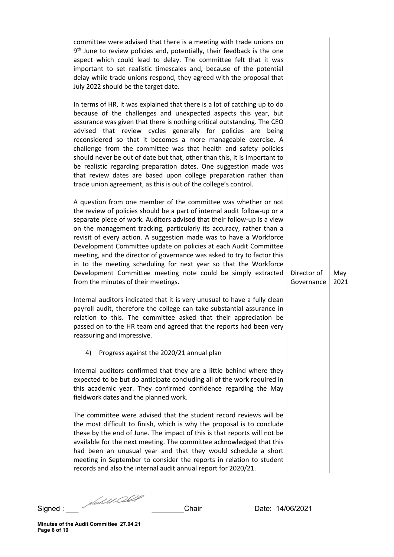committee were advised that there is a meeting with trade unions on 9<sup>th</sup> June to review policies and, potentially, their feedback is the one aspect which could lead to delay. The committee felt that it was important to set realistic timescales and, because of the potential delay while trade unions respond, they agreed with the proposal that July 2022 should be the target date.

In terms of HR, it was explained that there is a lot of catching up to do because of the challenges and unexpected aspects this year, but assurance was given that there is nothing critical outstanding. The CEO advised that review cycles generally for policies are being reconsidered so that it becomes a more manageable exercise. A challenge from the committee was that health and safety policies should never be out of date but that, other than this, it is important to be realistic regarding preparation dates. One suggestion made was that review dates are based upon college preparation rather than trade union agreement, as this is out of the college's control.

A question from one member of the committee was whether or not the review of policies should be a part of internal audit follow-up or a separate piece of work. Auditors advised that their follow-up is a view on the management tracking, particularly its accuracy, rather than a revisit of every action. A suggestion made was to have a Workforce Development Committee update on policies at each Audit Committee meeting, and the director of governance was asked to try to factor this in to the meeting scheduling for next year so that the Workforce Development Committee meeting note could be simply extracted from the minutes of their meetings.

Internal auditors indicated that it is very unusual to have a fully clean payroll audit, therefore the college can take substantial assurance in relation to this. The committee asked that their appreciation be passed on to the HR team and agreed that the reports had been very reassuring and impressive.

# 4) Progress against the 2020/21 annual plan

Internal auditors confirmed that they are a little behind where they expected to be but do anticipate concluding all of the work required in this academic year. They confirmed confidence regarding the May fieldwork dates and the planned work.

The committee were advised that the student record reviews will be the most difficult to finish, which is why the proposal is to conclude these by the end of June. The impact of this is that reports will not be available for the next meeting. The committee acknowledged that this had been an unusual year and that they would schedule a short meeting in September to consider the reports in relation to student records and also the internal audit annual report for 2020/21.

Signed : \_\_\_ \_\_\_\_\_\_\_\_Chair Date: 14/06/2021

Minutes of the Audit Committee 27.04.21 Page 6 of 10

Director of Governance May 2021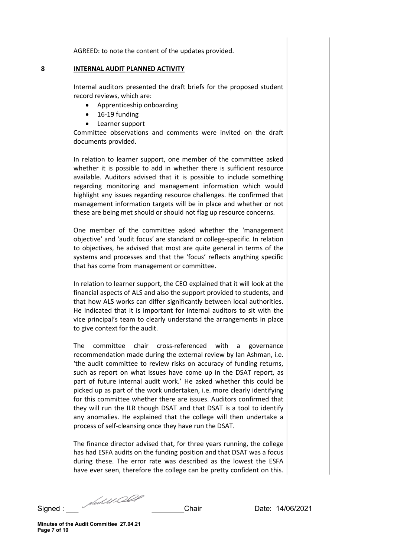AGREED: to note the content of the updates provided.

#### 8 INTERNAL AUDIT PLANNED ACTIVITY

Internal auditors presented the draft briefs for the proposed student record reviews, which are:

- Apprenticeship onboarding
- $\bullet$  16-19 funding
- Learner support

Committee observations and comments were invited on the draft documents provided.

In relation to learner support, one member of the committee asked whether it is possible to add in whether there is sufficient resource available. Auditors advised that it is possible to include something regarding monitoring and management information which would highlight any issues regarding resource challenges. He confirmed that management information targets will be in place and whether or not these are being met should or should not flag up resource concerns.

One member of the committee asked whether the 'management objective' and 'audit focus' are standard or college-specific. In relation to objectives, he advised that most are quite general in terms of the systems and processes and that the 'focus' reflects anything specific that has come from management or committee.

In relation to learner support, the CEO explained that it will look at the financial aspects of ALS and also the support provided to students, and that how ALS works can differ significantly between local authorities. He indicated that it is important for internal auditors to sit with the vice principal's team to clearly understand the arrangements in place to give context for the audit.

The committee chair cross-referenced with a governance recommendation made during the external review by Ian Ashman, i.e. 'the audit committee to review risks on accuracy of funding returns, such as report on what issues have come up in the DSAT report, as part of future internal audit work.' He asked whether this could be picked up as part of the work undertaken, i.e. more clearly identifying for this committee whether there are issues. Auditors confirmed that they will run the ILR though DSAT and that DSAT is a tool to identify any anomalies. He explained that the college will then undertake a process of self-cleansing once they have run the DSAT.

The finance director advised that, for three years running, the college has had ESFA audits on the funding position and that DSAT was a focus during these. The error rate was described as the lowest the ESFA have ever seen, therefore the college can be pretty confident on this.

Signed : \_\_\_ \_\_\_\_\_\_\_\_Chair Date: 14/06/2021

Minutes of the Audit Committee 27.04.21 Page 7 of 10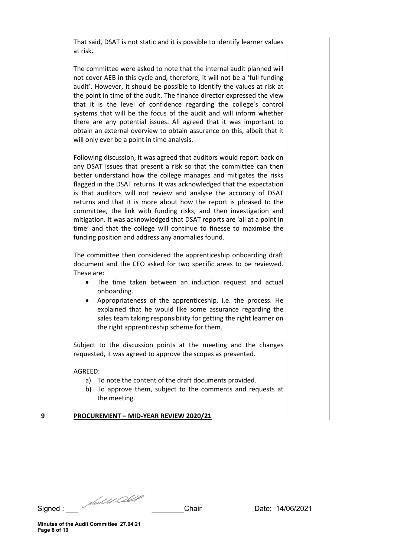That said, DSAT is not static and it is possible to identify learner values at risk.

The committee were asked to note that the internal audit planned will not cover AEB in this cycle and, therefore, it will not be a 'full funding audit'. However, it should be possible to identify the values at risk at the point in time of the audit. The finance director expressed the view that it is the level of confidence regarding the college's control systems that will be the focus of the audit and will inform whether there are any potential issues. All agreed that it was important to obtain an external overview to obtain assurance on this, albeit that it will only ever be a point in time analysis.

Following discussion, it was agreed that auditors would report back on any DSAT issues that present a risk so that the committee can then better understand how the college manages and mitigates the risks flagged in the DSAT returns. It was acknowledged that the expectation is that auditors will not review and analyse the accuracy of DSAT returns and that it is more about how the report is phrased to the committee, the link with funding risks, and then investigation and mitigation. It was acknowledged that DSAT reports are 'all at a point in time' and that the college will continue to finesse to maximise the funding position and address any anomalies found.

The committee then considered the apprenticeship onboarding draft document and the CEO asked for two specific areas to be reviewed. These are:

- The time taken between an induction request and actual onboarding.
- Appropriateness of the apprenticeship, i.e. the process. He explained that he would like some assurance regarding the sales team taking responsibility for getting the right learner on the right apprenticeship scheme for them.

Subject to the discussion points at the meeting and the changes requested, it was agreed to approve the scopes as presented.

AGREED:

- a) To note the content of the draft documents provided.
- b) To approve them, subject to the comments and requests at the meeting.

## 9 PROCUREMENT – MID-YEAR REVIEW 2020/21

Signed : \_\_\_ \_\_\_\_\_\_\_\_Chair Date: 14/06/2021

Minutes of the Audit Committee 27.04.21 Page 8 of 10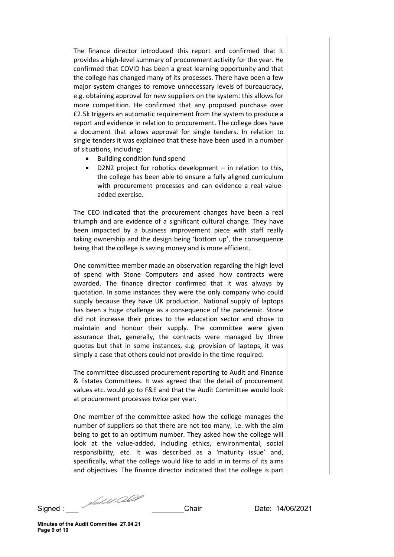The finance director introduced this report and confirmed that it provides a high-level summary of procurement activity for the year. He confirmed that COVID has been a great learning opportunity and that the college has changed many of its processes. There have been a few major system changes to remove unnecessary levels of bureaucracy, e.g. obtaining approval for new suppliers on the system: this allows for more competition. He confirmed that any proposed purchase over £2.5k triggers an automatic requirement from the system to produce a report and evidence in relation to procurement. The college does have a document that allows approval for single tenders. In relation to single tenders it was explained that these have been used in a number of situations, including:

- Building condition fund spend
- D2N2 project for robotics development in relation to this, the college has been able to ensure a fully aligned curriculum with procurement processes and can evidence a real valueadded exercise.

The CEO indicated that the procurement changes have been a real triumph and are evidence of a significant cultural change. They have been impacted by a business improvement piece with staff really taking ownership and the design being 'bottom up', the consequence being that the college is saving money and is more efficient.

One committee member made an observation regarding the high level of spend with Stone Computers and asked how contracts were awarded. The finance director confirmed that it was always by quotation. In some instances they were the only company who could supply because they have UK production. National supply of laptops has been a huge challenge as a consequence of the pandemic. Stone did not increase their prices to the education sector and chose to maintain and honour their supply. The committee were given assurance that, generally, the contracts were managed by three quotes but that in some instances, e.g. provision of laptops, it was simply a case that others could not provide in the time required.

The committee discussed procurement reporting to Audit and Finance & Estates Committees. It was agreed that the detail of procurement values etc. would go to F&E and that the Audit Committee would look at procurement processes twice per year.

One member of the committee asked how the college manages the number of suppliers so that there are not too many, i.e. with the aim being to get to an optimum number. They asked how the college will look at the value-added, including ethics, environmental, social responsibility, etc. It was described as a 'maturity issue' and, specifically, what the college would like to add in in terms of its aims and objectives. The finance director indicated that the college is part

Signed : \_\_\_ \_\_\_\_\_\_\_\_Chair Date: 14/06/2021

Minutes of the Audit Committee 27.04.21 Page 9 of 10